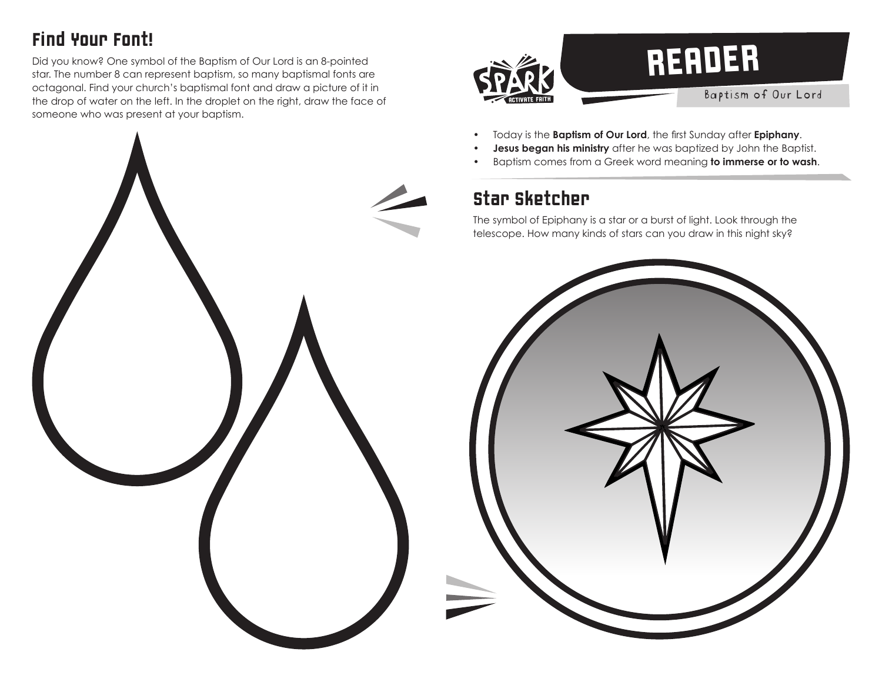## Find Your Font!

Did you know? One symbol of the Baptism of Our Lord is an 8-pointed star. The number 8 can represent baptism, so many baptismal fonts are octagonal. Find your church's baptismal font and draw a picture of it in the drop of water on the left. In the droplet on the right, draw the face of someone who was present at your baptism.



- Today is the **Baptism of Our Lord**, the first Sunday after **Epiphany**.
- **Jesus began his ministry** after he was baptized by John the Baptist.
- Baptism comes from a Greek word meaning **to immerse or to wash**.

## Star Sketcher

The symbol of Epiphany is a star or a burst of light. Look through the telescope. How many kinds of stars can you draw in this night sky?